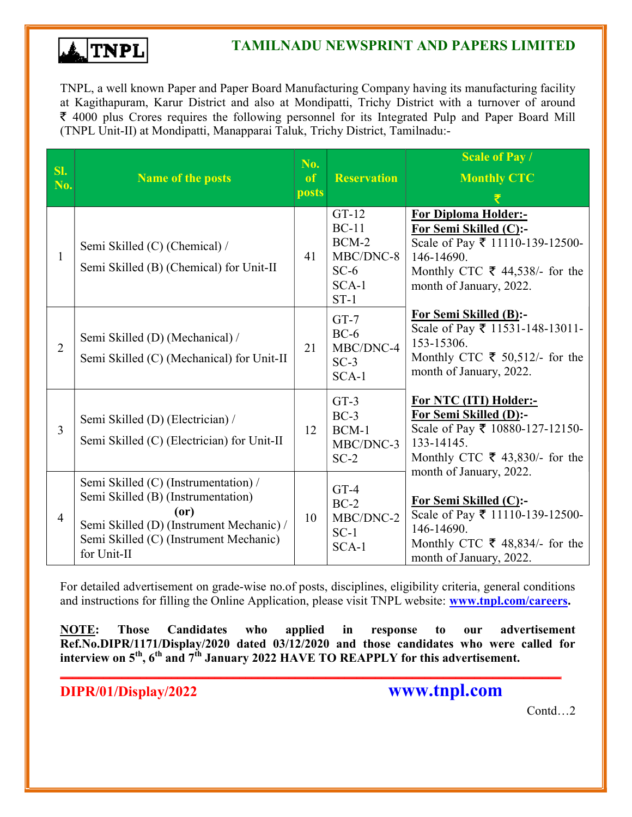

TNPL, a well known Paper and Paper Board Manufacturing Company having its manufacturing facility at Kagithapuram, Karur District and also at Mondipatti, Trichy District with a turnover of around  $\bar{\xi}$  4000 plus Crores requires the following personnel for its Integrated Pulp and Paper Board Mill (TNPL Unit-II) at Mondipatti, Manapparai Taluk, Trichy District, Tamilnadu:-

| SI.<br>No.     | <b>Name of the posts</b>                                                                                                                                                                | No.<br><sub>of</sub><br>posts | <b>Reservation</b>                                                        | <b>Scale of Pay /</b><br><b>Monthly CTC</b>                                                                                                                                    |
|----------------|-----------------------------------------------------------------------------------------------------------------------------------------------------------------------------------------|-------------------------------|---------------------------------------------------------------------------|--------------------------------------------------------------------------------------------------------------------------------------------------------------------------------|
| $\mathbf{1}$   | Semi Skilled (C) (Chemical) /<br>Semi Skilled (B) (Chemical) for Unit-II                                                                                                                | 41                            | $GT-12$<br>$BC-11$<br>$BCM-2$<br>MBC/DNC-8<br>$SC-6$<br>$SCA-1$<br>$ST-1$ | <b>For Diploma Holder:-</b><br>For Semi Skilled (C):-<br>Scale of Pay ₹ 11110-139-12500-<br>146-14690.<br>Monthly CTC $\bar{\tau}$ 44,538/- for the<br>month of January, 2022. |
| $\overline{2}$ | Semi Skilled (D) (Mechanical) /<br>Semi Skilled (C) (Mechanical) for Unit-II                                                                                                            | 21                            | $GT-7$<br>$BC-6$<br>MBC/DNC-4<br>$SC-3$<br>$SCA-1$                        | <b>For Semi Skilled (B):-</b><br>Scale of Pay ₹ 11531-148-13011-<br>153-15306.<br>Monthly CTC $\bar{\tau}$ 50,512/- for the<br>month of January, 2022.                         |
| $\overline{3}$ | Semi Skilled (D) (Electrician) /<br>Semi Skilled (C) (Electrician) for Unit-II                                                                                                          | 12                            | $GT-3$<br>$BC-3$<br>$BCM-1$<br>MBC/DNC-3<br>$SC-2$                        | For NTC (ITI) Holder:-<br>For Semi Skilled (D):-<br>Scale of Pay ₹ 10880-127-12150-<br>133-14145.<br>Monthly CTC $\bar{\tau}$ 43,830/- for the                                 |
| $\overline{4}$ | Semi Skilled (C) (Instrumentation) /<br>Semi Skilled (B) (Instrumentation)<br>(0r)<br>Semi Skilled (D) (Instrument Mechanic) /<br>Semi Skilled (C) (Instrument Mechanic)<br>for Unit-II | 10                            | $GT-4$<br>$BC-2$<br>MBC/DNC-2<br>$SC-1$<br>SCA-1                          | month of January, 2022.<br>For Semi Skilled (C):-<br>Scale of Pay ₹ 11110-139-12500-<br>146-14690.<br>Monthly CTC $\bar{\tau}$ 48,834/- for the<br>month of January, 2022.     |

For detailed advertisement on grade-wise no.of posts, disciplines, eligibility criteria, general conditions and instructions for filling the Online Application, please visit TNPL website: **www.tnpl.com/careers.** 

NOTE: Those Candidates who applied in response to our advertisement Ref.No.DIPR/1171/Display/2020 dated 03/12/2020 and those candidates who were called for interview on 5<sup>th</sup>, 6<sup>th</sup> and 7<sup>th</sup> January 2022 HAVE TO REAPPLY for this advertisement.

\_\_\_\_\_\_\_\_\_\_\_\_\_\_\_\_\_\_\_\_\_\_\_\_\_\_\_\_\_\_\_\_\_\_\_\_\_\_\_\_\_\_\_\_\_\_\_\_\_\_\_\_\_\_\_\_\_\_\_\_\_\_\_\_\_\_\_\_\_\_\_\_\_\_\_\_\_\_\_\_\_

DIPR/01/Display/2022 www.tnpl.com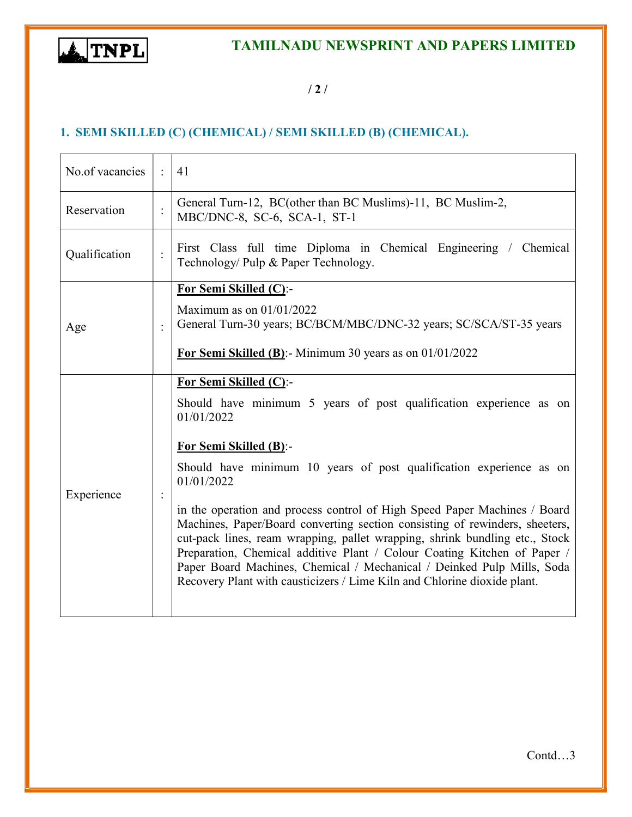

/ 2 /

# 1. SEMI SKILLED (C) (CHEMICAL) / SEMI SKILLED (B) (CHEMICAL).

| No.of vacancies                                                                                                                             | $\mathcal{L}$                                                                                                                                                                          | 41                                                                                                                                                                                                                                                                                                                                                                                                                                                                                                                                                                                                                                                                                                            |  |
|---------------------------------------------------------------------------------------------------------------------------------------------|----------------------------------------------------------------------------------------------------------------------------------------------------------------------------------------|---------------------------------------------------------------------------------------------------------------------------------------------------------------------------------------------------------------------------------------------------------------------------------------------------------------------------------------------------------------------------------------------------------------------------------------------------------------------------------------------------------------------------------------------------------------------------------------------------------------------------------------------------------------------------------------------------------------|--|
| Reservation                                                                                                                                 | $\ddot{\cdot}$                                                                                                                                                                         | General Turn-12, BC(other than BC Muslims)-11, BC Muslim-2,<br>MBC/DNC-8, SC-6, SCA-1, ST-1                                                                                                                                                                                                                                                                                                                                                                                                                                                                                                                                                                                                                   |  |
| First Class full time Diploma in Chemical Engineering / Chemical<br>Qualification<br>$\ddot{\cdot}$<br>Technology/ Pulp & Paper Technology. |                                                                                                                                                                                        |                                                                                                                                                                                                                                                                                                                                                                                                                                                                                                                                                                                                                                                                                                               |  |
| Age                                                                                                                                         | For Semi Skilled (C):-<br>Maximum as on $01/01/2022$<br>General Turn-30 years; BC/BCM/MBC/DNC-32 years; SC/SCA/ST-35 years<br>For Semi Skilled (B):- Minimum 30 years as on 01/01/2022 |                                                                                                                                                                                                                                                                                                                                                                                                                                                                                                                                                                                                                                                                                                               |  |
| Experience                                                                                                                                  |                                                                                                                                                                                        | For Semi Skilled (C):-<br>Should have minimum 5 years of post qualification experience as on<br>01/01/2022<br><b>For Semi Skilled (B):-</b><br>Should have minimum 10 years of post qualification experience as on<br>01/01/2022<br>in the operation and process control of High Speed Paper Machines / Board<br>Machines, Paper/Board converting section consisting of rewinders, sheeters,<br>cut-pack lines, ream wrapping, pallet wrapping, shrink bundling etc., Stock<br>Preparation, Chemical additive Plant / Colour Coating Kitchen of Paper /<br>Paper Board Machines, Chemical / Mechanical / Deinked Pulp Mills, Soda<br>Recovery Plant with causticizers / Lime Kiln and Chlorine dioxide plant. |  |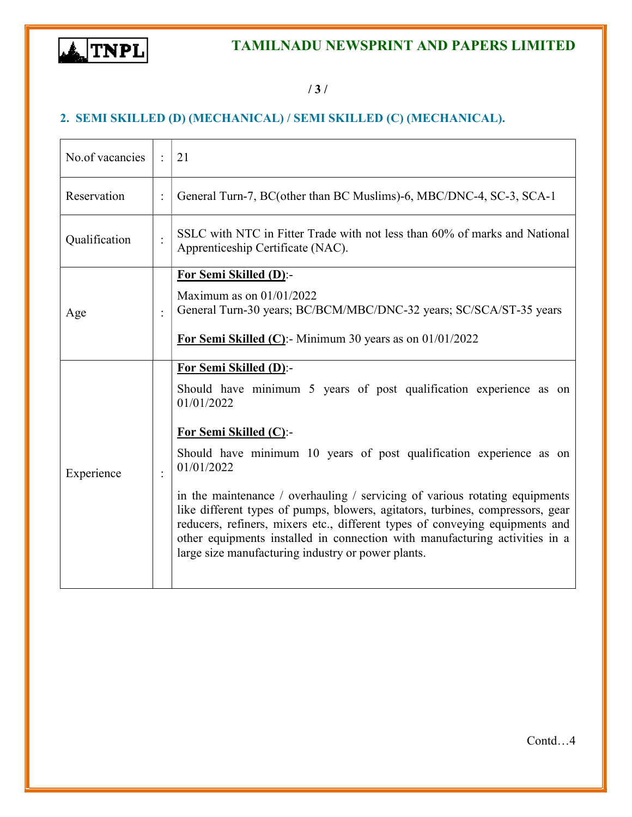

## / 3 /

## 2. SEMI SKILLED (D) (MECHANICAL) / SEMI SKILLED (C) (MECHANICAL).

| No.of vacancies                                                      |                | 21                                                                                                                                                                                                                                                                                                                                                                                                                                                                                                                                                                                                              |
|----------------------------------------------------------------------|----------------|-----------------------------------------------------------------------------------------------------------------------------------------------------------------------------------------------------------------------------------------------------------------------------------------------------------------------------------------------------------------------------------------------------------------------------------------------------------------------------------------------------------------------------------------------------------------------------------------------------------------|
| Reservation                                                          | $\ddot{\cdot}$ | General Turn-7, BC(other than BC Muslims)-6, MBC/DNC-4, SC-3, SCA-1                                                                                                                                                                                                                                                                                                                                                                                                                                                                                                                                             |
| Qualification<br>$\ddot{\cdot}$<br>Apprenticeship Certificate (NAC). |                | SSLC with NTC in Fitter Trade with not less than 60% of marks and National                                                                                                                                                                                                                                                                                                                                                                                                                                                                                                                                      |
| <b>For Semi Skilled (D):-</b><br>Maximum as on $01/01/2022$<br>Age   |                | General Turn-30 years; BC/BCM/MBC/DNC-32 years; SC/SCA/ST-35 years<br>For Semi Skilled (C):- Minimum 30 years as on $01/01/2022$                                                                                                                                                                                                                                                                                                                                                                                                                                                                                |
| Experience                                                           |                | For Semi Skilled (D):-<br>Should have minimum 5 years of post qualification experience as on<br>01/01/2022<br>For Semi Skilled (C):-<br>Should have minimum 10 years of post qualification experience as on<br>01/01/2022<br>in the maintenance / overhauling / servicing of various rotating equipments<br>like different types of pumps, blowers, agitators, turbines, compressors, gear<br>reducers, refiners, mixers etc., different types of conveying equipments and<br>other equipments installed in connection with manufacturing activities in a<br>large size manufacturing industry or power plants. |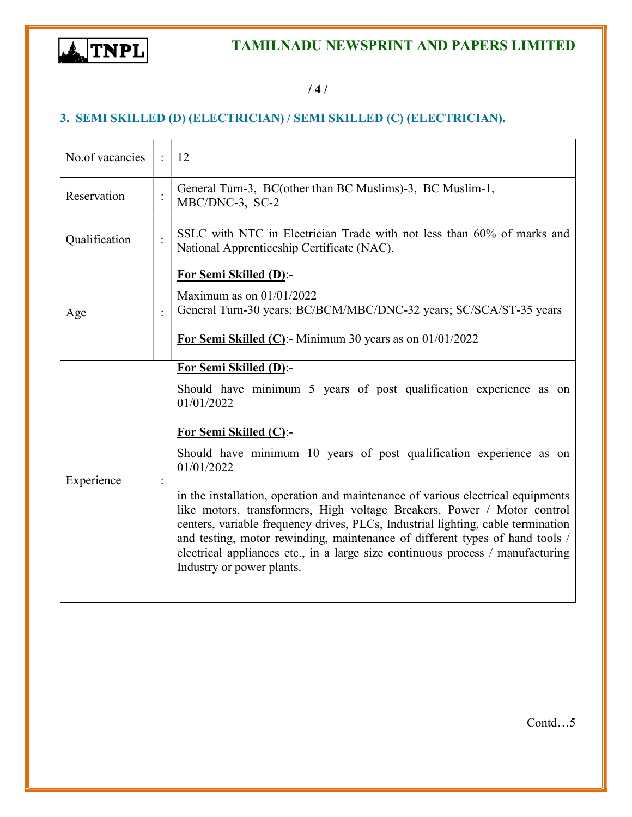

## / 4 /

# 3. SEMI SKILLED (D) (ELECTRICIAN) / SEMI SKILLED (C) (ELECTRICIAN).

| No.of vacancies                                  | $\bullet$                                                                                                            | 12                                                                                                                                                                                                                                                                                                                                                                                                                                                                                                                                                                                                                                                                                |
|--------------------------------------------------|----------------------------------------------------------------------------------------------------------------------|-----------------------------------------------------------------------------------------------------------------------------------------------------------------------------------------------------------------------------------------------------------------------------------------------------------------------------------------------------------------------------------------------------------------------------------------------------------------------------------------------------------------------------------------------------------------------------------------------------------------------------------------------------------------------------------|
| Reservation<br>$\ddot{\cdot}$<br>MBC/DNC-3, SC-2 |                                                                                                                      | General Turn-3, BC(other than BC Muslims)-3, BC Muslim-1,                                                                                                                                                                                                                                                                                                                                                                                                                                                                                                                                                                                                                         |
| Qualification                                    | SSLC with NTC in Electrician Trade with not less than 60% of marks and<br>National Apprenticeship Certificate (NAC). |                                                                                                                                                                                                                                                                                                                                                                                                                                                                                                                                                                                                                                                                                   |
| Age                                              |                                                                                                                      | For Semi Skilled (D):-<br>Maximum as on $01/01/2022$<br>General Turn-30 years; BC/BCM/MBC/DNC-32 years; SC/SCA/ST-35 years<br>For Semi Skilled (C):- Minimum 30 years as on $01/01/2022$                                                                                                                                                                                                                                                                                                                                                                                                                                                                                          |
| Experience                                       |                                                                                                                      | For Semi Skilled (D):-<br>Should have minimum 5 years of post qualification experience as on<br>01/01/2022<br><b>For Semi Skilled (C):-</b><br>Should have minimum 10 years of post qualification experience as on<br>01/01/2022<br>in the installation, operation and maintenance of various electrical equipments<br>like motors, transformers, High voltage Breakers, Power / Motor control<br>centers, variable frequency drives, PLCs, Industrial lighting, cable termination<br>and testing, motor rewinding, maintenance of different types of hand tools /<br>electrical appliances etc., in a large size continuous process / manufacturing<br>Industry or power plants. |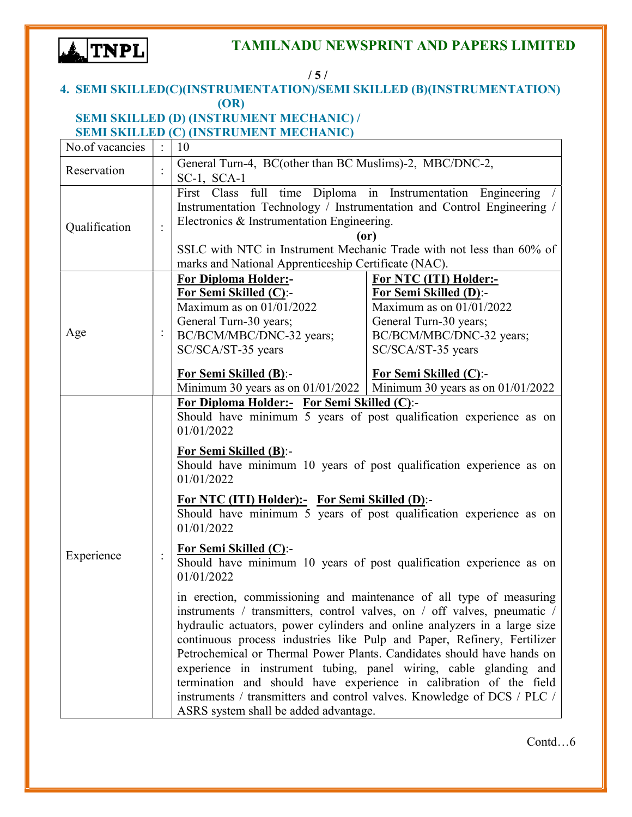

| /5/                                                                                        |                |                                                                                                                                                                                                                                                                                                                                                                                                                                                                                                                                                                                                                                                  |                                                                                                                                                                                                                                                                                |  |  |
|--------------------------------------------------------------------------------------------|----------------|--------------------------------------------------------------------------------------------------------------------------------------------------------------------------------------------------------------------------------------------------------------------------------------------------------------------------------------------------------------------------------------------------------------------------------------------------------------------------------------------------------------------------------------------------------------------------------------------------------------------------------------------------|--------------------------------------------------------------------------------------------------------------------------------------------------------------------------------------------------------------------------------------------------------------------------------|--|--|
| 4. SEMI SKILLED(C)(INSTRUMENTATION)/SEMI SKILLED (B)(INSTRUMENTATION)                      |                |                                                                                                                                                                                                                                                                                                                                                                                                                                                                                                                                                                                                                                                  |                                                                                                                                                                                                                                                                                |  |  |
| (OR)                                                                                       |                |                                                                                                                                                                                                                                                                                                                                                                                                                                                                                                                                                                                                                                                  |                                                                                                                                                                                                                                                                                |  |  |
| SEMI SKILLED (D) (INSTRUMENT MECHANIC) /<br><b>SEMI SKILLED (C) (INSTRUMENT MECHANIC)</b>  |                |                                                                                                                                                                                                                                                                                                                                                                                                                                                                                                                                                                                                                                                  |                                                                                                                                                                                                                                                                                |  |  |
| No.of vacancies                                                                            |                | 10                                                                                                                                                                                                                                                                                                                                                                                                                                                                                                                                                                                                                                               |                                                                                                                                                                                                                                                                                |  |  |
|                                                                                            |                |                                                                                                                                                                                                                                                                                                                                                                                                                                                                                                                                                                                                                                                  |                                                                                                                                                                                                                                                                                |  |  |
| General Turn-4, BC(other than BC Muslims)-2, MBC/DNC-2,<br>Reservation<br>$SC-1$ , $SCA-1$ |                |                                                                                                                                                                                                                                                                                                                                                                                                                                                                                                                                                                                                                                                  |                                                                                                                                                                                                                                                                                |  |  |
| Qualification<br>$\vdots$                                                                  |                | Electronics & Instrumentation Engineering.                                                                                                                                                                                                                                                                                                                                                                                                                                                                                                                                                                                                       | First Class full time Diploma in Instrumentation Engineering<br>Instrumentation Technology / Instrumentation and Control Engineering /<br>(or)<br>SSLC with NTC in Instrument Mechanic Trade with not less than 60% of<br>marks and National Apprenticeship Certificate (NAC). |  |  |
|                                                                                            |                | <b>For Diploma Holder:-</b>                                                                                                                                                                                                                                                                                                                                                                                                                                                                                                                                                                                                                      | For NTC (ITI) Holder:-                                                                                                                                                                                                                                                         |  |  |
|                                                                                            |                | For Semi Skilled (C):-                                                                                                                                                                                                                                                                                                                                                                                                                                                                                                                                                                                                                           | For Semi Skilled (D):-                                                                                                                                                                                                                                                         |  |  |
|                                                                                            |                | Maximum as on $01/01/2022$                                                                                                                                                                                                                                                                                                                                                                                                                                                                                                                                                                                                                       | Maximum as on $01/01/2022$                                                                                                                                                                                                                                                     |  |  |
| Age                                                                                        | $\vdots$       | General Turn-30 years;                                                                                                                                                                                                                                                                                                                                                                                                                                                                                                                                                                                                                           | General Turn-30 years;                                                                                                                                                                                                                                                         |  |  |
|                                                                                            |                | BC/BCM/MBC/DNC-32 years;<br>SC/SCA/ST-35 years                                                                                                                                                                                                                                                                                                                                                                                                                                                                                                                                                                                                   | BC/BCM/MBC/DNC-32 years;<br>SC/SCA/ST-35 years                                                                                                                                                                                                                                 |  |  |
|                                                                                            |                |                                                                                                                                                                                                                                                                                                                                                                                                                                                                                                                                                                                                                                                  |                                                                                                                                                                                                                                                                                |  |  |
|                                                                                            |                | For Semi Skilled (B):-                                                                                                                                                                                                                                                                                                                                                                                                                                                                                                                                                                                                                           | <b>For Semi Skilled (C):-</b>                                                                                                                                                                                                                                                  |  |  |
|                                                                                            |                |                                                                                                                                                                                                                                                                                                                                                                                                                                                                                                                                                                                                                                                  | Minimum 30 years as on $01/01/2022$ Minimum 30 years as on $01/01/2022$                                                                                                                                                                                                        |  |  |
|                                                                                            |                | For Diploma Holder:- For Semi Skilled (C):-                                                                                                                                                                                                                                                                                                                                                                                                                                                                                                                                                                                                      |                                                                                                                                                                                                                                                                                |  |  |
|                                                                                            |                | Should have minimum 5 years of post qualification experience as on<br>01/01/2022                                                                                                                                                                                                                                                                                                                                                                                                                                                                                                                                                                 |                                                                                                                                                                                                                                                                                |  |  |
|                                                                                            | $\ddot{\cdot}$ | For Semi Skilled (B):-<br>Should have minimum 10 years of post qualification experience as on<br>01/01/2022                                                                                                                                                                                                                                                                                                                                                                                                                                                                                                                                      |                                                                                                                                                                                                                                                                                |  |  |
|                                                                                            |                | For NTC (ITI) Holder):- For Semi Skilled (D):-<br>Should have minimum 5 years of post qualification experience as on<br>01/01/2022                                                                                                                                                                                                                                                                                                                                                                                                                                                                                                               |                                                                                                                                                                                                                                                                                |  |  |
| Experience                                                                                 |                | For Semi Skilled (C):-<br>Should have minimum 10 years of post qualification experience as on<br>01/01/2022                                                                                                                                                                                                                                                                                                                                                                                                                                                                                                                                      |                                                                                                                                                                                                                                                                                |  |  |
|                                                                                            |                | in erection, commissioning and maintenance of all type of measuring<br>instruments / transmitters, control valves, on / off valves, pneumatic /<br>hydraulic actuators, power cylinders and online analyzers in a large size<br>continuous process industries like Pulp and Paper, Refinery, Fertilizer<br>Petrochemical or Thermal Power Plants. Candidates should have hands on<br>experience in instrument tubing, panel wiring, cable glanding and<br>termination and should have experience in calibration of the field<br>instruments / transmitters and control valves. Knowledge of DCS / PLC /<br>ASRS system shall be added advantage. |                                                                                                                                                                                                                                                                                |  |  |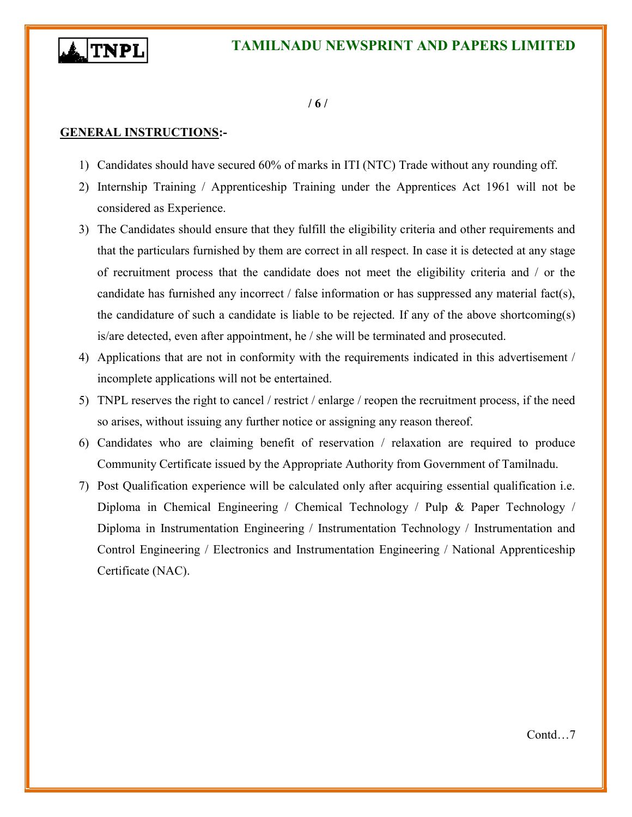

#### $/ 6 /$

#### GENERAL INSTRUCTIONS:-

- 1) Candidates should have secured 60% of marks in ITI (NTC) Trade without any rounding off.
- 2) Internship Training / Apprenticeship Training under the Apprentices Act 1961 will not be considered as Experience.
- 3) The Candidates should ensure that they fulfill the eligibility criteria and other requirements and that the particulars furnished by them are correct in all respect. In case it is detected at any stage of recruitment process that the candidate does not meet the eligibility criteria and / or the candidate has furnished any incorrect / false information or has suppressed any material fact(s), the candidature of such a candidate is liable to be rejected. If any of the above shortcoming(s) is/are detected, even after appointment, he / she will be terminated and prosecuted.
- 4) Applications that are not in conformity with the requirements indicated in this advertisement / incomplete applications will not be entertained.
- 5) TNPL reserves the right to cancel / restrict / enlarge / reopen the recruitment process, if the need so arises, without issuing any further notice or assigning any reason thereof.
- 6) Candidates who are claiming benefit of reservation / relaxation are required to produce Community Certificate issued by the Appropriate Authority from Government of Tamilnadu.
- 7) Post Qualification experience will be calculated only after acquiring essential qualification i.e. Diploma in Chemical Engineering / Chemical Technology / Pulp & Paper Technology / Diploma in Instrumentation Engineering / Instrumentation Technology / Instrumentation and Control Engineering / Electronics and Instrumentation Engineering / National Apprenticeship Certificate (NAC).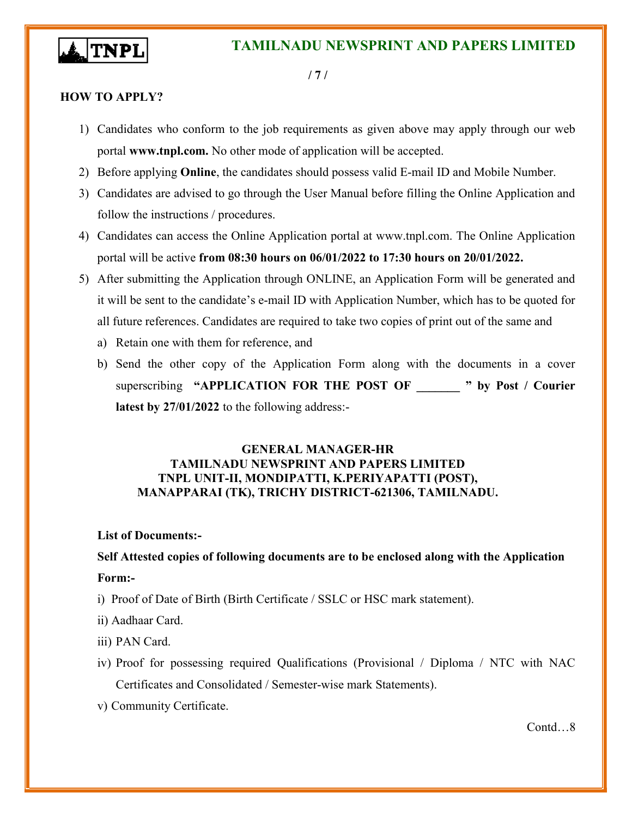

/ 7 /

#### HOW TO APPLY?

- 1) Candidates who conform to the job requirements as given above may apply through our web portal www.tnpl.com. No other mode of application will be accepted.
- 2) Before applying Online, the candidates should possess valid E-mail ID and Mobile Number.
- 3) Candidates are advised to go through the User Manual before filling the Online Application and follow the instructions / procedures.
- 4) Candidates can access the Online Application portal at www.tnpl.com. The Online Application portal will be active from 08:30 hours on 06/01/2022 to 17:30 hours on 20/01/2022.
- 5) After submitting the Application through ONLINE, an Application Form will be generated and it will be sent to the candidate's e-mail ID with Application Number, which has to be quoted for all future references. Candidates are required to take two copies of print out of the same and
	- a) Retain one with them for reference, and
	- b) Send the other copy of the Application Form along with the documents in a cover superscribing "APPLICATION FOR THE POST OF " by Post / Courier latest by 27/01/2022 to the following address:-

#### GENERAL MANAGER-HR TAMILNADU NEWSPRINT AND PAPERS LIMITED TNPL UNIT-II, MONDIPATTI, K.PERIYAPATTI (POST), MANAPPARAI (TK), TRICHY DISTRICT-621306, TAMILNADU.

#### List of Documents:-

# Self Attested copies of following documents are to be enclosed along with the Application Form:-

- i) Proof of Date of Birth (Birth Certificate / SSLC or HSC mark statement).
- ii) Aadhaar Card.
- iii) PAN Card.
- iv) Proof for possessing required Qualifications (Provisional / Diploma / NTC with NAC Certificates and Consolidated / Semester-wise mark Statements).
- v) Community Certificate.